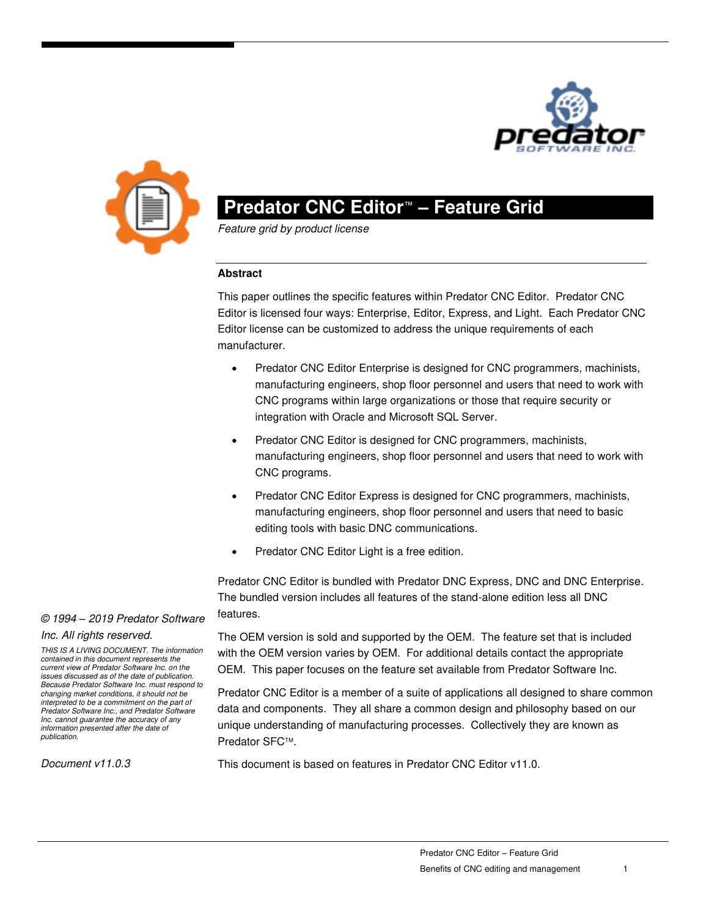



# **Predator CNC Editor**™ **– Feature Grid**

Feature grid by product license

## **Abstract**

This paper outlines the specific features within Predator CNC Editor. Predator CNC Editor is licensed four ways: Enterprise, Editor, Express, and Light. Each Predator CNC Editor license can be customized to address the unique requirements of each manufacturer.

- Predator CNC Editor Enterprise is designed for CNC programmers, machinists, manufacturing engineers, shop floor personnel and users that need to work with CNC programs within large organizations or those that require security or integration with Oracle and Microsoft SQL Server.
- Predator CNC Editor is designed for CNC programmers, machinists, manufacturing engineers, shop floor personnel and users that need to work with CNC programs.
- Predator CNC Editor Express is designed for CNC programmers, machinists, manufacturing engineers, shop floor personnel and users that need to basic editing tools with basic DNC communications.
- Predator CNC Editor Light is a free edition.

Predator CNC Editor is bundled with Predator DNC Express, DNC and DNC Enterprise. The bundled version includes all features of the stand-alone edition less all DNC features.

#### © 1994 *–* 2019 Predator Software

#### Inc. All rights reserved.

THIS IS A LIVING DOCUMENT. The information contained in this document represents the current view of Predator Software Inc. on the issues discussed as of the date of publication. Because Predator Software Inc. must respond to changing market conditions, it should not be interpreted to be a commitment on the part of Predator Software Inc., and Predator Software Inc. cannot guarantee the accuracy of any information presented after the date of publication.

Document v11.0.3

The OEM version is sold and supported by the OEM. The feature set that is included with the OEM version varies by OEM. For additional details contact the appropriate OEM. This paper focuses on the feature set available from Predator Software Inc.

Predator CNC Editor is a member of a suite of applications all designed to share common data and components. They all share a common design and philosophy based on our unique understanding of manufacturing processes. Collectively they are known as Predator SFC™.

This document is based on features in Predator CNC Editor v11.0.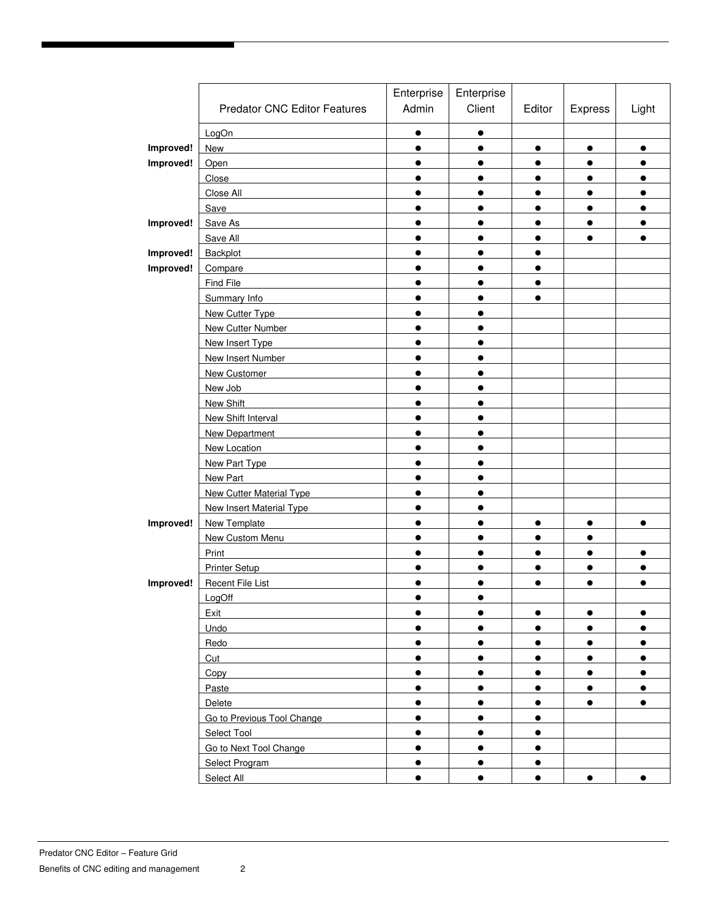|           |                                     | Enterprise | Enterprise |           |           |           |
|-----------|-------------------------------------|------------|------------|-----------|-----------|-----------|
|           | <b>Predator CNC Editor Features</b> | Admin      | Client     | Editor    | Express   | Light     |
|           | LogOn                               | $\bullet$  | $\bullet$  |           |           |           |
| Improved! | New                                 | $\bullet$  | $\bullet$  | $\bullet$ | $\bullet$ | $\bullet$ |
| Improved! | Open                                | $\bullet$  | $\bullet$  | $\bullet$ | $\bullet$ | $\bullet$ |
|           | Close                               | $\bullet$  | $\bullet$  | $\bullet$ | $\bullet$ | $\bullet$ |
|           | Close All                           | $\bullet$  | $\bullet$  | $\bullet$ | $\bullet$ | $\bullet$ |
|           | Save                                | $\bullet$  | $\bullet$  | $\bullet$ | $\bullet$ | $\bullet$ |
| Improved! | Save As                             | $\bullet$  | $\bullet$  | $\bullet$ | $\bullet$ | $\bullet$ |
|           | Save All                            | $\bullet$  |            |           | $\bullet$ | $\bullet$ |
| Improved! | Backplot                            | $\bullet$  | $\bullet$  | $\bullet$ |           |           |
| Improved! | Compare                             | $\bullet$  | $\bullet$  | $\bullet$ |           |           |
|           | Find File                           | $\bullet$  | $\bullet$  | $\bullet$ |           |           |
|           | Summary Info                        | $\bullet$  | $\bullet$  | $\bullet$ |           |           |
|           | New Cutter Type                     | $\bullet$  | $\bullet$  |           |           |           |
|           | New Cutter Number                   | $\bullet$  | $\bullet$  |           |           |           |
|           | New Insert Type                     | $\bullet$  | $\bullet$  |           |           |           |
|           | New Insert Number                   | $\bullet$  | $\bullet$  |           |           |           |
|           | New Customer                        | $\bullet$  | $\bullet$  |           |           |           |
|           | New Job                             | $\bullet$  | $\bullet$  |           |           |           |
|           | New Shift                           | $\bullet$  | $\bullet$  |           |           |           |
|           | New Shift Interval                  | $\bullet$  | $\bullet$  |           |           |           |
|           | New Department                      | $\bullet$  | $\bullet$  |           |           |           |
|           | New Location                        | $\bullet$  | $\bullet$  |           |           |           |
|           | New Part Type                       | $\bullet$  | $\bullet$  |           |           |           |
|           | New Part                            | $\bullet$  | $\bullet$  |           |           |           |
|           | <b>New Cutter Material Type</b>     | $\bullet$  | $\bullet$  |           |           |           |
|           | New Insert Material Type            | $\bullet$  | $\bullet$  |           |           |           |
| Improved! | <b>New Template</b>                 | $\bullet$  | $\bullet$  | $\bullet$ | $\bullet$ | $\bullet$ |
|           | New Custom Menu                     | $\bullet$  | $\bullet$  | $\bullet$ | $\bullet$ |           |
|           | Print                               | $\bullet$  | $\bullet$  | $\bullet$ | $\bullet$ | $\bullet$ |
|           | <b>Printer Setup</b>                | $\bullet$  | $\bullet$  | $\bullet$ | $\bullet$ | $\bullet$ |
| Improved! | Recent File List                    | $\bullet$  | $\bullet$  | $\bullet$ | $\bullet$ | $\bullet$ |
|           | LogOff                              |            |            |           |           |           |
|           | Exit                                | $\bullet$  | $\bullet$  | $\bullet$ | $\bullet$ | $\bullet$ |
|           | Undo                                | $\bullet$  | $\bullet$  | $\bullet$ | $\bullet$ | $\bullet$ |
|           | Redo                                | $\bullet$  | $\bullet$  | $\bullet$ | $\bullet$ | $\bullet$ |
|           | Cut                                 | $\bullet$  | $\bullet$  | $\bullet$ | $\bullet$ | $\bullet$ |
|           | Copy                                | $\bullet$  | $\bullet$  | $\bullet$ | $\bullet$ | $\bullet$ |
|           | Paste                               | $\bullet$  | $\bullet$  | $\bullet$ | $\bullet$ | $\bullet$ |
|           | Delete                              | $\bullet$  | $\bullet$  | $\bullet$ | $\bullet$ | $\bullet$ |
|           | Go to Previous Tool Change          | $\bullet$  | $\bullet$  | $\bullet$ |           |           |
|           | Select Tool                         | $\bullet$  | $\bullet$  | $\bullet$ |           |           |
|           | Go to Next Tool Change              | $\bullet$  | $\bullet$  | $\bullet$ |           |           |
|           | Select Program                      | $\bullet$  | $\bullet$  | $\bullet$ |           |           |
|           | Select All                          | $\bullet$  | $\bullet$  | $\bullet$ | $\bullet$ | $\bullet$ |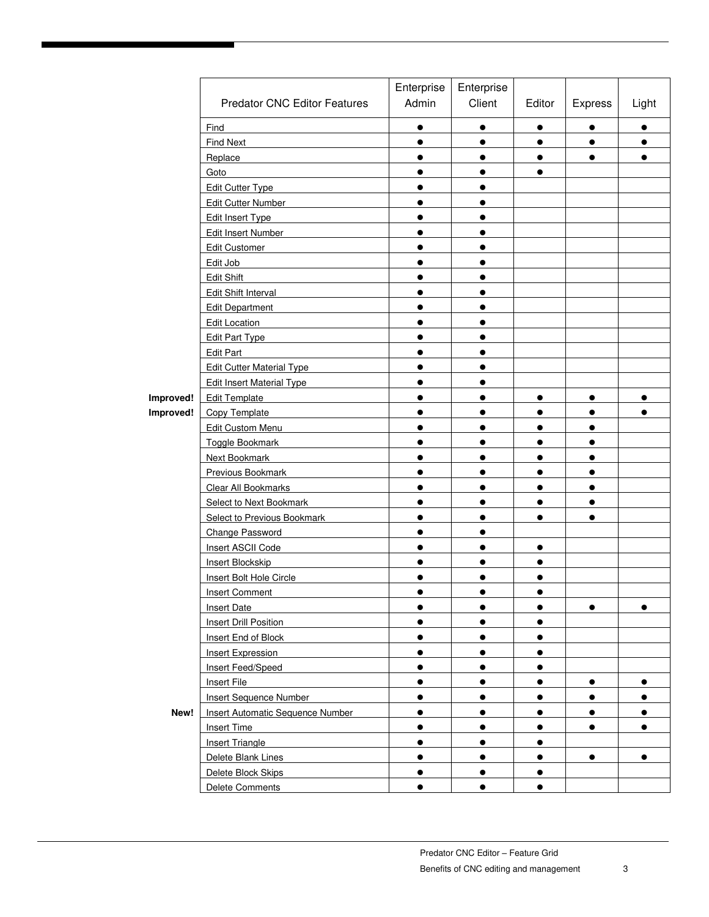|           |                                         | Enterprise | Enterprise |           |           |           |
|-----------|-----------------------------------------|------------|------------|-----------|-----------|-----------|
|           | <b>Predator CNC Editor Features</b>     | Admin      | Client     | Editor    | Express   | Light     |
|           | Find                                    | $\bullet$  | $\bullet$  | $\bullet$ | $\bullet$ | $\bullet$ |
|           | Find Next                               | $\bullet$  | $\bullet$  | $\bullet$ | $\bullet$ | $\bullet$ |
|           | Replace                                 | $\bullet$  | $\bullet$  | $\bullet$ | $\bullet$ | $\bullet$ |
|           | Goto                                    | $\bullet$  | $\bullet$  | $\bullet$ |           |           |
|           | <b>Edit Cutter Type</b>                 | $\bullet$  | $\bullet$  |           |           |           |
|           | Edit Cutter Number                      | $\bullet$  | $\bullet$  |           |           |           |
|           | Edit Insert Type                        | $\bullet$  | $\bullet$  |           |           |           |
|           | Edit Insert Number                      | $\bullet$  | $\bullet$  |           |           |           |
|           | Edit Customer                           | $\bullet$  | $\bullet$  |           |           |           |
|           | Edit Job                                | $\bullet$  | $\bullet$  |           |           |           |
|           | Edit Shift                              | $\bullet$  | $\bullet$  |           |           |           |
|           | Edit Shift Interval                     | $\bullet$  | $\bullet$  |           |           |           |
|           | <b>Edit Department</b>                  | $\bullet$  | $\bullet$  |           |           |           |
|           | <b>Edit Location</b>                    | $\bullet$  | $\bullet$  |           |           |           |
|           | Edit Part Type                          | $\bullet$  | $\bullet$  |           |           |           |
|           | Edit Part                               | $\bullet$  | $\bullet$  |           |           |           |
|           | <b>Edit Cutter Material Type</b>        | $\bullet$  | $\bullet$  |           |           |           |
|           | <b>Edit Insert Material Type</b>        | $\bullet$  | $\bullet$  |           |           |           |
| Improved! | <b>Edit Template</b>                    | $\bullet$  | $\bullet$  | $\bullet$ | $\bullet$ | $\bullet$ |
| Improved! | <b>Copy Template</b>                    | $\bullet$  | $\bullet$  | $\bullet$ | $\bullet$ | $\bullet$ |
|           | Edit Custom Menu                        | $\bullet$  | $\bullet$  | $\bullet$ | $\bullet$ |           |
|           | Toggle Bookmark                         | $\bullet$  | $\bullet$  | $\bullet$ | $\bullet$ |           |
|           | Next Bookmark                           | $\bullet$  | $\bullet$  | $\bullet$ | $\bullet$ |           |
|           | <b>Previous Bookmark</b>                | $\bullet$  | $\bullet$  | $\bullet$ | $\bullet$ |           |
|           | Clear All Bookmarks                     | $\bullet$  | $\bullet$  | $\bullet$ | $\bullet$ |           |
|           | Select to Next Bookmark                 | $\bullet$  | $\bullet$  | $\bullet$ | $\bullet$ |           |
|           | Select to Previous Bookmark             | $\bullet$  | $\bullet$  | $\bullet$ | $\bullet$ |           |
|           | <b>Change Password</b>                  | $\bullet$  | $\bullet$  |           |           |           |
|           | Insert ASCII Code                       | $\bullet$  | $\bullet$  | $\bullet$ |           |           |
|           | Insert Blockskip                        | $\bullet$  | $\bullet$  | $\bullet$ |           |           |
|           | Insert Bolt Hole Circle                 | $\bullet$  |            | $\bullet$ |           |           |
|           | <b>Insert Comment</b>                   |            |            |           |           |           |
|           | <b>Insert Date</b>                      | $\bullet$  | $\bullet$  | $\bullet$ | $\bullet$ | $\bullet$ |
|           | Insert Drill Position                   | $\bullet$  | $\bullet$  | $\bullet$ |           |           |
|           | Insert End of Block                     | $\bullet$  | $\bullet$  | $\bullet$ |           |           |
|           | Insert Expression                       | $\bullet$  | $\bullet$  | $\bullet$ |           |           |
|           | Insert Feed/Speed                       | $\bullet$  | $\bullet$  | $\bullet$ |           |           |
|           | Insert File                             | $\bullet$  | $\bullet$  | $\bullet$ | $\bullet$ | $\bullet$ |
|           | <b>Insert Sequence Number</b>           | $\bullet$  | $\bullet$  | $\bullet$ | $\bullet$ | $\bullet$ |
| New!      | <b>Insert Automatic Sequence Number</b> | $\bullet$  | $\bullet$  | $\bullet$ | $\bullet$ | $\bullet$ |
|           | Insert Time                             | $\bullet$  | $\bullet$  | $\bullet$ | $\bullet$ | $\bullet$ |
|           | Insert Triangle                         | $\bullet$  | $\bullet$  | $\bullet$ |           |           |
|           | Delete Blank Lines                      | $\bullet$  | $\bullet$  | $\bullet$ | $\bullet$ | $\bullet$ |
|           | Delete Block Skips                      | $\bullet$  | $\bullet$  | $\bullet$ |           |           |
|           | Delete Comments                         | $\bullet$  | $\bullet$  | $\bullet$ |           |           |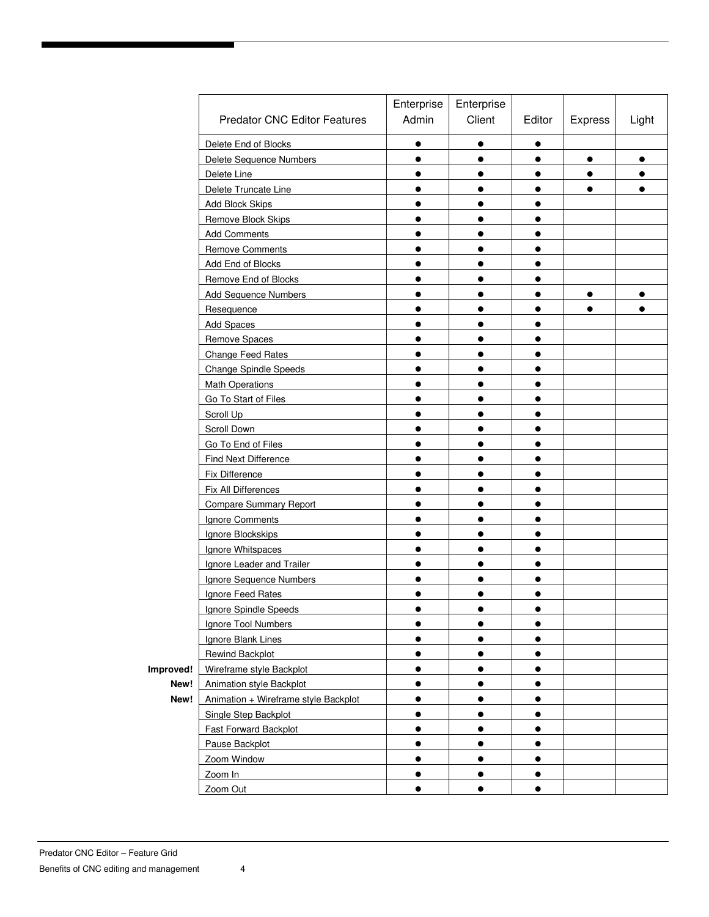| Enterprise<br>Enterprise<br>Admin<br>Client<br><b>Predator CNC Editor Features</b><br>Editor<br>Delete End of Blocks<br>$\bullet$<br>$\bullet$<br>$\bullet$ | Express<br>$\bullet$<br>$\bullet$ | Light<br>$\bullet$ |
|-------------------------------------------------------------------------------------------------------------------------------------------------------------|-----------------------------------|--------------------|
|                                                                                                                                                             |                                   |                    |
|                                                                                                                                                             |                                   |                    |
|                                                                                                                                                             |                                   |                    |
| Delete Sequence Numbers<br>$\bullet$<br>$\bullet$<br>$\bullet$                                                                                              |                                   |                    |
| Delete Line<br>$\bullet$<br>$\bullet$<br>$\bullet$                                                                                                          |                                   | $\bullet$          |
| Delete Truncate Line<br>$\bullet$<br>$\bullet$<br>$\bullet$                                                                                                 | $\bullet$                         | $\bullet$          |
| <b>Add Block Skips</b><br>$\bullet$<br>$\bullet$                                                                                                            |                                   |                    |
| Remove Block Skips<br>$\bullet$<br>$\bullet$<br>$\bullet$                                                                                                   |                                   |                    |
| <b>Add Comments</b><br>$\bullet$<br>$\bullet$<br>$\bullet$                                                                                                  |                                   |                    |
| <b>Remove Comments</b><br>$\bullet$<br>$\bullet$<br>$\bullet$                                                                                               |                                   |                    |
| Add End of Blocks<br>$\bullet$<br>$\bullet$<br>$\bullet$                                                                                                    |                                   |                    |
| Remove End of Blocks<br>$\bullet$<br>$\bullet$<br>$\bullet$                                                                                                 |                                   |                    |
| <b>Add Sequence Numbers</b><br>$\bullet$<br>●<br>$\bullet$                                                                                                  | $\bullet$                         | $\bullet$          |
| Resequence<br>$\bullet$<br>●                                                                                                                                | $\bullet$                         |                    |
| <b>Add Spaces</b><br>$\bullet$<br>$\bullet$<br>$\bullet$                                                                                                    |                                   |                    |
| Remove Spaces<br>$\bullet$<br>$\bullet$<br>$\bullet$                                                                                                        |                                   |                    |
| Change Feed Rates<br>$\bullet$<br>$\bullet$<br>$\bullet$                                                                                                    |                                   |                    |
| <b>Change Spindle Speeds</b><br>$\bullet$<br>$\bullet$<br>$\bullet$                                                                                         |                                   |                    |
| <b>Math Operations</b><br>$\bullet$<br>$\bullet$<br>$\bullet$                                                                                               |                                   |                    |
| Go To Start of Files<br>$\bullet$<br>$\bullet$<br>$\bullet$                                                                                                 |                                   |                    |
| Scroll Up<br>$\bullet$<br>$\bullet$<br>$\bullet$                                                                                                            |                                   |                    |
| Scroll Down<br>$\bullet$<br>$\bullet$<br>$\bullet$                                                                                                          |                                   |                    |
| Go To End of Files<br>$\bullet$<br>$\bullet$<br>$\bullet$                                                                                                   |                                   |                    |
| <b>Find Next Difference</b><br>$\bullet$<br>$\bullet$<br>$\bullet$                                                                                          |                                   |                    |
| Fix Difference<br>$\bullet$<br>$\bullet$<br>●                                                                                                               |                                   |                    |
| Fix All Differences<br>$\bullet$<br>$\bullet$                                                                                                               |                                   |                    |
| <b>Compare Summary Report</b><br>$\bullet$<br>$\bullet$<br>$\bullet$                                                                                        |                                   |                    |
| Ignore Comments<br>$\bullet$<br>$\bullet$<br>$\bullet$                                                                                                      |                                   |                    |
| Ignore Blockskips<br>$\bullet$<br>$\bullet$<br>$\bullet$                                                                                                    |                                   |                    |
| Ignore Whitspaces<br>$\bullet$<br>$\bullet$<br>$\bullet$                                                                                                    |                                   |                    |
| Ignore Leader and Trailer<br>$\bullet$<br>$\bullet$<br>$\bullet$                                                                                            |                                   |                    |
| Ignore Sequence Numbers<br>$\bullet$<br>$\bullet$<br>$\bullet$                                                                                              |                                   |                    |
| Ignore Feed Rates                                                                                                                                           |                                   |                    |
| <b>Ignore Spindle Speeds</b>                                                                                                                                |                                   |                    |
| Ignore Tool Numbers<br>$\bullet$<br>$\bullet$<br>$\bullet$                                                                                                  |                                   |                    |
| Ignore Blank Lines<br>$\bullet$<br>$\bullet$<br>$\bullet$                                                                                                   |                                   |                    |
| Rewind Backplot<br>$\bullet$<br>$\bullet$<br>$\bullet$                                                                                                      |                                   |                    |
| Improved!<br>Wireframe style Backplot<br>$\bullet$<br>$\bullet$<br>$\bullet$                                                                                |                                   |                    |
| New!<br>Animation style Backplot<br>$\bullet$<br>$\bullet$<br>$\bullet$                                                                                     |                                   |                    |
| New!<br>Animation + Wireframe style Backplot<br>$\bullet$<br>$\bullet$<br>$\bullet$                                                                         |                                   |                    |
| Single Step Backplot<br>$\bullet$<br>$\bullet$<br>$\bullet$                                                                                                 |                                   |                    |
| <b>Fast Forward Backplot</b><br>$\bullet$<br>$\bullet$<br>$\bullet$                                                                                         |                                   |                    |
| Pause Backplot<br>$\bullet$<br>$\bullet$<br>$\bullet$                                                                                                       |                                   |                    |
| Zoom Window<br>$\bullet$<br>$\bullet$<br>$\bullet$                                                                                                          |                                   |                    |
| Zoom In<br>$\bullet$<br>$\bullet$<br>$\bullet$                                                                                                              |                                   |                    |
| Zoom Out<br>$\bullet$<br>$\bullet$<br>$\bullet$                                                                                                             |                                   |                    |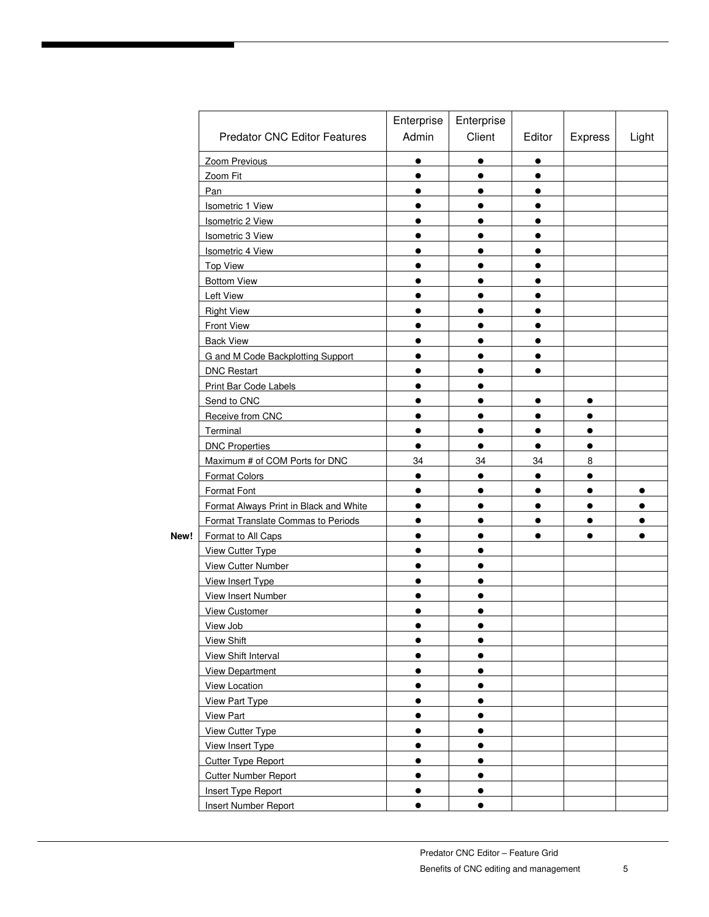|      | <b>Predator CNC Editor Features</b>    | Enterprise<br>Admin | Enterprise<br>Client | Editor    | Express   | Light     |
|------|----------------------------------------|---------------------|----------------------|-----------|-----------|-----------|
|      | Zoom Previous                          | $\bullet$           |                      | $\bullet$ |           |           |
|      | Zoom Fit                               | $\bullet$           | $\bullet$            | $\bullet$ |           |           |
|      | Pan                                    | $\bullet$           | $\bullet$            | $\bullet$ |           |           |
|      | Isometric 1 View                       | $\bullet$           | $\bullet$            | $\bullet$ |           |           |
|      | Isometric 2 View                       | $\bullet$           | $\bullet$            | $\bullet$ |           |           |
|      | <b>Isometric 3 View</b>                | $\bullet$           | $\bullet$            | $\bullet$ |           |           |
|      | Isometric 4 View                       | $\bullet$           | $\bullet$            | $\bullet$ |           |           |
|      | <b>Top View</b>                        | $\bullet$           | $\bullet$            | $\bullet$ |           |           |
|      | <b>Bottom View</b>                     | $\bullet$           | $\bullet$            | $\bullet$ |           |           |
|      | Left View                              | $\bullet$           | $\bullet$            | $\bullet$ |           |           |
|      | <b>Right View</b>                      | $\bullet$           |                      | $\bullet$ |           |           |
|      | <b>Front View</b>                      | $\bullet$           | $\bullet$            | $\bullet$ |           |           |
|      | <b>Back View</b>                       | $\bullet$           | $\bullet$            | $\bullet$ |           |           |
|      | G and M Code Backplotting Support      | $\bullet$           | $\bullet$            | $\bullet$ |           |           |
|      | <b>DNC Restart</b>                     | $\bullet$           | $\bullet$            | $\bullet$ |           |           |
|      | Print Bar Code Labels                  | $\bullet$           | $\bullet$            |           |           |           |
|      | Send to CNC                            | $\bullet$           | $\bullet$            | $\bullet$ | $\bullet$ |           |
|      | Receive from CNC                       | $\bullet$           | $\bullet$            | $\bullet$ | $\bullet$ |           |
|      | Terminal                               | $\bullet$           | $\bullet$            | $\bullet$ | $\bullet$ |           |
|      | <b>DNC Properties</b>                  | $\bullet$           | $\bullet$            | $\bullet$ | $\bullet$ |           |
|      | Maximum # of COM Ports for DNC         | 34                  | 34                   | 34        | 8         |           |
|      | <b>Format Colors</b>                   | $\bullet$           | $\bullet$            | $\bullet$ | $\bullet$ |           |
|      | Format Font                            | $\bullet$           | $\bullet$            | $\bullet$ | $\bullet$ | $\bullet$ |
|      | Format Always Print in Black and White | $\bullet$           | $\bullet$            | $\bullet$ | $\bullet$ | $\bullet$ |
|      | Format Translate Commas to Periods     | $\bullet$           | $\bullet$            | $\bullet$ | $\bullet$ | $\bullet$ |
| New! | Format to All Caps                     | $\bullet$           | $\bullet$            | $\bullet$ |           | $\bullet$ |
|      | View Cutter Type                       | $\bullet$           | $\bullet$            |           |           |           |
|      | <b>View Cutter Number</b>              | $\bullet$           | $\bullet$            |           |           |           |
|      | View Insert Type                       | $\bullet$           | $\bullet$            |           |           |           |
|      | <b>View Insert Number</b>              | $\bullet$           | $\bullet$            |           |           |           |
|      | <b>View Customer</b>                   | $\bullet$           |                      |           |           |           |
|      | View Job                               |                     |                      |           |           |           |
|      | <b>View Shift</b>                      | $\bullet$           | $\bullet$            |           |           |           |
|      | View Shift Interval                    | $\bullet$           | $\bullet$            |           |           |           |
|      | View Department                        | $\bullet$           | $\bullet$            |           |           |           |
|      | View Location                          | $\bullet$           | $\bullet$            |           |           |           |
|      | <b>View Part Type</b>                  | $\bullet$           | $\bullet$            |           |           |           |
|      | View Part                              | $\bullet$           | $\bullet$            |           |           |           |
|      | <b>View Cutter Type</b>                | $\bullet$           | $\bullet$            |           |           |           |
|      | View Insert Type                       | $\bullet$           | $\bullet$            |           |           |           |
|      | <b>Cutter Type Report</b>              | $\bullet$           | $\bullet$            |           |           |           |
|      | <b>Cutter Number Report</b>            | $\bullet$           | $\bullet$            |           |           |           |
|      | Insert Type Report                     | $\bullet$           | $\bullet$            |           |           |           |
|      | Insert Number Report                   |                     | $\bullet$            |           |           |           |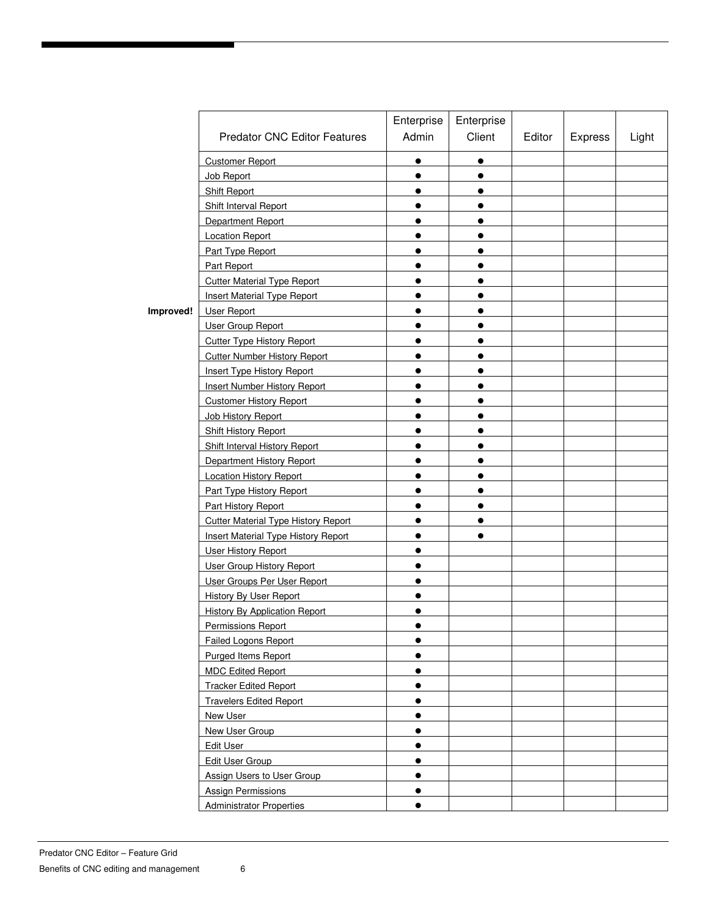|           |                                            | Enterprise | Enterprise |        |                |       |
|-----------|--------------------------------------------|------------|------------|--------|----------------|-------|
|           | <b>Predator CNC Editor Features</b>        | Admin      | Client     | Editor | <b>Express</b> | Light |
|           | <b>Customer Report</b>                     | $\bullet$  | $\bullet$  |        |                |       |
|           | Job Report                                 | $\bullet$  | $\bullet$  |        |                |       |
|           | Shift Report                               | $\bullet$  | $\bullet$  |        |                |       |
|           | Shift Interval Report                      | $\bullet$  | $\bullet$  |        |                |       |
|           | Department Report                          | $\bullet$  | $\bullet$  |        |                |       |
|           | <b>Location Report</b>                     | $\bullet$  | $\bullet$  |        |                |       |
|           | Part Type Report                           | $\bullet$  | $\bullet$  |        |                |       |
|           | Part Report                                | $\bullet$  | $\bullet$  |        |                |       |
|           | <b>Cutter Material Type Report</b>         | $\bullet$  | $\bullet$  |        |                |       |
|           | <b>Insert Material Type Report</b>         | $\bullet$  | $\bullet$  |        |                |       |
| Improved! | User Report                                |            | $\bullet$  |        |                |       |
|           | User Group Report                          |            | $\bullet$  |        |                |       |
|           | <b>Cutter Type History Report</b>          | $\bullet$  | $\bullet$  |        |                |       |
|           | <b>Cutter Number History Report</b>        | $\bullet$  | $\bullet$  |        |                |       |
|           | <b>Insert Type History Report</b>          | $\bullet$  | $\bullet$  |        |                |       |
|           | <b>Insert Number History Report</b>        | $\bullet$  | $\bullet$  |        |                |       |
|           | <b>Customer History Report</b>             | $\bullet$  | $\bullet$  |        |                |       |
|           | Job History Report                         | $\bullet$  |            |        |                |       |
|           | Shift History Report                       |            |            |        |                |       |
|           | Shift Interval History Report              | $\bullet$  | $\bullet$  |        |                |       |
|           | Department History Report                  | $\bullet$  | $\bullet$  |        |                |       |
|           | Location History Report                    | $\bullet$  | $\bullet$  |        |                |       |
|           | Part Type History Report                   | $\bullet$  | $\bullet$  |        |                |       |
|           | Part History Report                        | $\bullet$  | $\bullet$  |        |                |       |
|           | <b>Cutter Material Type History Report</b> | $\bullet$  | $\bullet$  |        |                |       |
|           | <b>Insert Material Type History Report</b> | $\bullet$  | $\bullet$  |        |                |       |
|           | <b>User History Report</b>                 | $\bullet$  |            |        |                |       |
|           | User Group History Report                  | $\bullet$  |            |        |                |       |
|           | User Groups Per User Report                | $\bullet$  |            |        |                |       |
|           | <b>History By User Report</b>              | $\bullet$  |            |        |                |       |
|           | <b>History By Application Report</b>       |            |            |        |                |       |
|           | Permissions Report                         |            |            |        |                |       |
|           | Failed Logons Report                       | $\bullet$  |            |        |                |       |
|           | Purged Items Report                        | $\bullet$  |            |        |                |       |
|           | <b>MDC Edited Report</b>                   | $\bullet$  |            |        |                |       |
|           | <b>Tracker Edited Report</b>               | $\bullet$  |            |        |                |       |
|           | <b>Travelers Edited Report</b>             | $\bullet$  |            |        |                |       |
|           | New User                                   | $\bullet$  |            |        |                |       |
|           | New User Group                             | $\bullet$  |            |        |                |       |
|           | Edit User                                  | $\bullet$  |            |        |                |       |
|           | Edit User Group                            | $\bullet$  |            |        |                |       |
|           | Assign Users to User Group                 | $\bullet$  |            |        |                |       |
|           | <b>Assign Permissions</b>                  | $\bullet$  |            |        |                |       |
|           | <b>Administrator Properties</b>            | $\bullet$  |            |        |                |       |